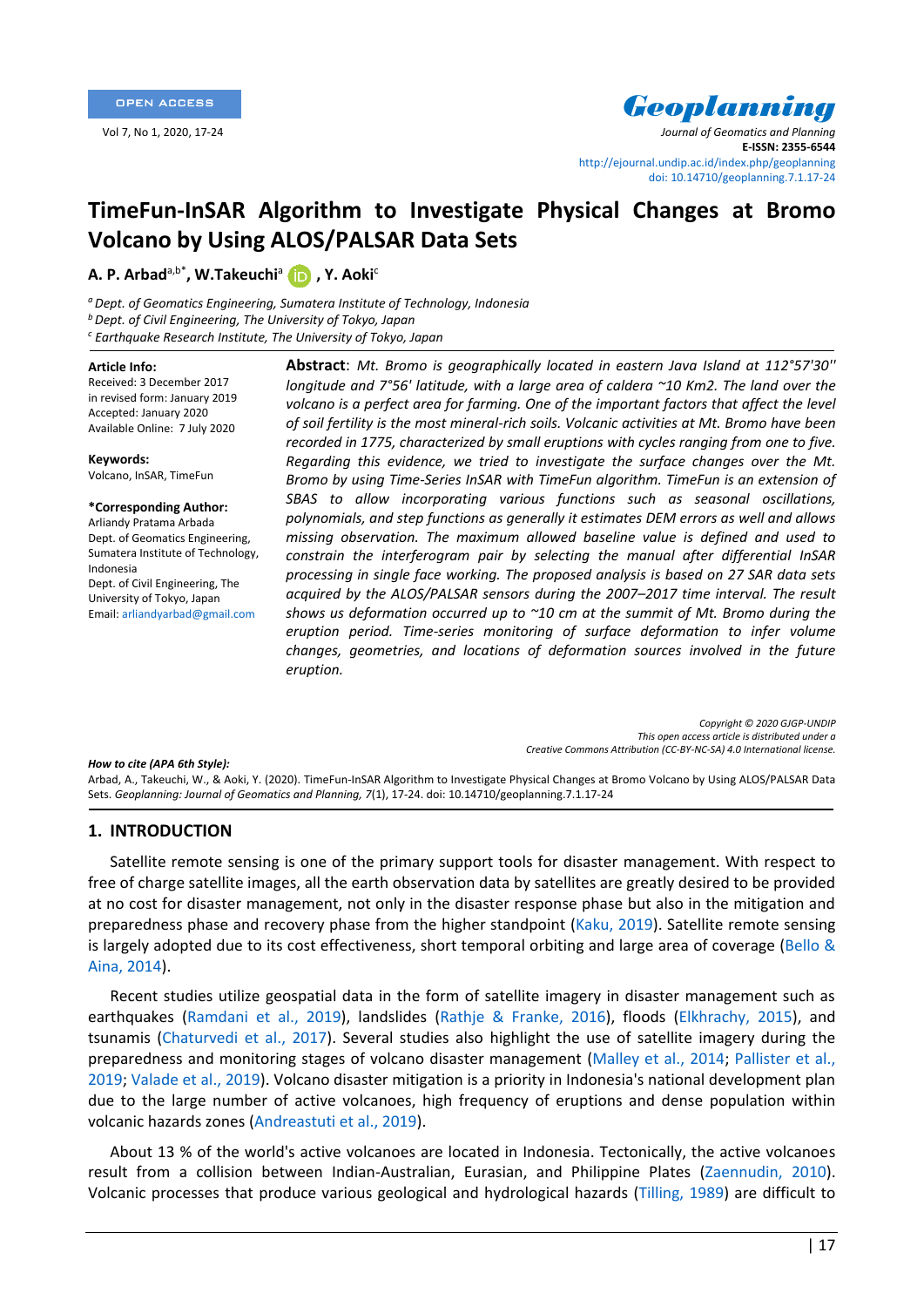

Vol 7, No 1, 2020, 17-24 *Journal of Geomatics and Planning* **E-ISSN: 2355-6544** <http://ejournal.undip.ac.id/index.php/geoplanning> [doi: 10.14710/geoplanning.7.1.17-24](https://doi.org/10.14710/geoplanning.7.1.17-24)

# **TimeFun-InSAR Algorithm to Investigate Physical Changes at Bromo Volcano by Using ALOS/PALSAR Data Sets**

## **A. P. Arbad**a,b\* **, W.Takeuchi**<sup>a</sup> **, Y. Aoki**<sup>c</sup>

*<sup>a</sup>Dept. of Geomatics Engineering, Sumatera Institute of Technology, Indonesia <sup>b</sup>Dept. of Civil Engineering, The University of Tokyo, Japan <sup>c</sup> Earthquake Research Institute, The University of Tokyo, Japan*

#### **Article Info:**

Received: 3 December 2017 in revised form: January 2019 Accepted: January 2020 Available Online: 7 July 2020

**Keywords:**  Volcano, InSAR, TimeFun

#### **\*Corresponding Author:**

Arliandy Pratama Arbada Dept. of Geomatics Engineering, Sumatera Institute of Technology, Indonesia Dept. of Civil Engineering, The University of Tokyo, Japan Email: arliandyarbad@gmail.com

**Abstract**: *Mt. Bromo is geographically located in eastern Java Island at 112°57'30'' longitude and 7°56' latitude, with a large area of caldera ~10 Km2. The land over the*  volcano is a perfect area for farming. One of the important factors that affect the level *of soil fertility is the most mineral-rich soils. Volcanic activities at Mt. Bromo have been recorded in 1775, characterized by small eruptions with cycles ranging from one to five. Regarding this evidence, we tried to investigate the surface changes over the Mt. Bromo by using Time-Series InSAR with TimeFun algorithm. TimeFun is an extension of SBAS to allow incorporating various functions such as seasonal oscillations, polynomials, and step functions as generally it estimates DEM errors as well and allows missing observation. The maximum allowed baseline value is defined and used to constrain the interferogram pair by selecting the manual after differential InSAR processing in single face working. The proposed analysis is based on 27 SAR data sets acquired by the ALOS/PALSAR sensors during the 2007–2017 time interval. The result shows us deformation occurred up to ~10 cm at the summit of Mt. Bromo during the eruption period. Time-series monitoring of surface deformation to infer volume changes, geometries, and locations of deformation sources involved in the future eruption.*

> *Copyright © 2020 GJGP-UNDIP This open access article is distributed under a Creative Commons Attribution (CC-BY-NC-SA) 4.0 International license.*

#### *How to cite (APA 6th Style):*

Arbad, A., Takeuchi, W., & Aoki, Y. (2020). TimeFun-InSAR Algorithm to Investigate Physical Changes at Bromo Volcano by Using ALOS/PALSAR Data Sets. *Geoplanning: Journal of Geomatics and Planning, 7*(1), 17-24. doi: 10.14710/geoplanning.7.1.17-24

## **1. INTRODUCTION**

Satellite remote sensing is one of the primary support tools for disaster management. With respect to free of charge satellite images, all the earth observation data by satellites are greatly desired to be provided at no cost for disaster management, not only in the disaster response phase but also in the mitigation and preparedness phase and recovery phase from the higher standpoint [\(Kaku, 2019\)](#page-6-0). Satellite remote sensing is largely adopted due to its cost effectiveness, short temporal orbiting and large area of coverage [\(Bello &](#page-5-0)  [Aina, 2014\)](#page-5-0).

Recent studies utilize geospatial data in the form of satellite imagery in disaster management such as earthquakes [\(Ramdani](#page-6-1) et al., 2019), landslides [\(Rathje & Franke, 2016\)](#page-6-2), floods [\(Elkhrachy, 2015\)](#page-6-3), and tsunamis (Chaturvedi [et al., 2017\)](#page-5-1). Several studies also highlight the use of satellite imagery during the preparedness and monitoring stages of volcano disaster management [\(Malley et al., 2014;](#page-6-4) [Pallister et al.,](#page-6-5)  [2019;](#page-6-5) [Valade et al., 2019\)](#page-6-6). Volcano disaster mitigation is a priority in Indonesia's national development plan due to the large number of active volcanoes, high frequency of eruptions and dense population within volcanic hazards zones [\(Andreastuti et al., 2019\)](#page-5-2).

About 13 % of the world's active volcanoes are located in Indonesia. Tectonically, the active volcanoes result from a collision between Indian-Australian, Eurasian, and Philippine Plates [\(Zaennudin, 2010\)](#page-7-0). Volcanic processes that produce various geological and hydrological hazards [\(Tilling, 1989\)](#page-6-7) are difficult to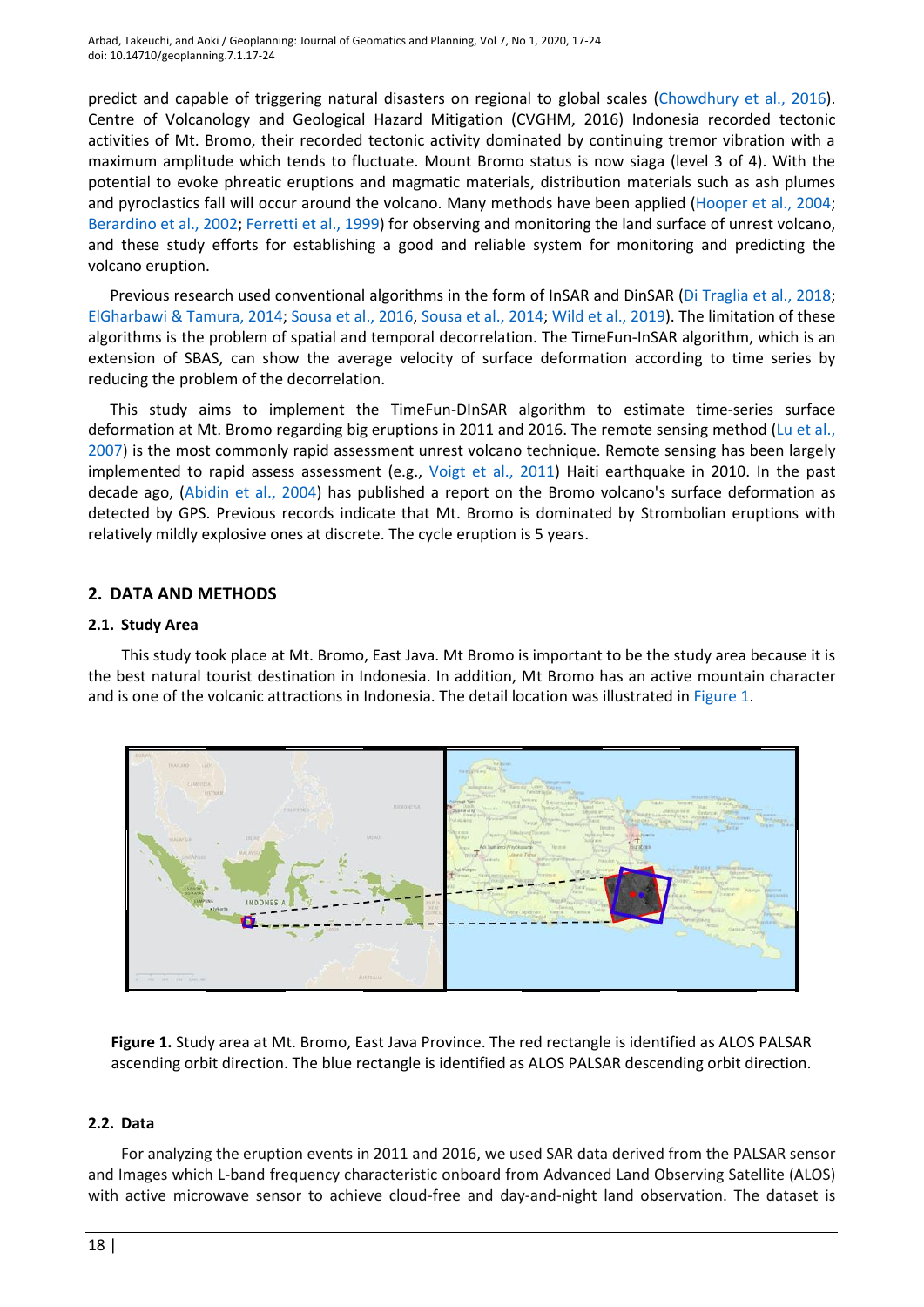Arbad, Takeuchi, and Aoki / Geoplanning: Journal of Geomatics and Planning, Vol 7, No 1, 2020, 17-24 doi: 10.14710/geoplanning.7.1.17-24

predict and capable of triggering natural disasters on regional to global scales [\(Chowdhury](#page-5-3) et al., 2016). Centre of Volcanology and Geological Hazard Mitigation (CVGHM, 2016) Indonesia recorded tectonic activities of Mt. Bromo, their recorded tectonic activity dominated by continuing tremor vibration with a maximum amplitude which tends to fluctuate. Mount Bromo status is now siaga (level 3 of 4). With the potential to evoke phreatic eruptions and magmatic materials, distribution materials such as ash plumes and pyroclastics fall will occur around the volcano. Many methods have been applied (Hooper [et al., 2004;](#page-6-8) [Berardino](#page-5-4) et al., 2002; Ferretti [et al., 1999\)](#page-6-9) for observing and monitoring the land surface of unrest volcano, and these study efforts for establishing a good and reliable system for monitoring and predicting the volcano eruption.

Previous research used conventional algorithms in the form of InSAR and DinSAR [\(Di Traglia et al., 2018;](#page-5-5) [ElGharbawi & Tamura, 2014;](#page-6-10) [Sousa et al., 2016,](#page-6-11) [Sousa et al., 2014;](#page-6-12) Wild [et al., 2019\)](#page-6-13). The limitation of these algorithms is the problem of spatial and temporal decorrelation. The TimeFun-InSAR algorithm, which is an extension of SBAS, can show the average velocity of surface deformation according to time series by reducing the problem of the decorrelation.

This study aims to implement the TimeFun-DInSAR algorithm to estimate time-series surface deformation at Mt. Bromo regarding big eruptions in 2011 and 2016. The remote sensing method (Lu [et al.,](#page-6-14) [2007\)](#page-6-14) is the most commonly rapid assessment unrest volcano technique. Remote sensing has been largely implemented to rapid assess assessment (e.g., [Voigt et al., 2011\)](#page-6-15) Haiti earthquake in 2010. In the past decade ago, [\(Abidin et al., 2004\)](#page-5-6) has published a report on the Bromo volcano's surface deformation as detected by GPS. Previous records indicate that Mt. Bromo is dominated by Strombolian eruptions with relatively mildly explosive ones at discrete. The cycle eruption is 5 years.

## **2. DATA AND METHODS**

#### **2.1. Study Area**

This study took place at Mt. Bromo, East Java. Mt Bromo is important to be the study area because it is the best natural tourist destination in Indonesia. In addition, Mt Bromo has an active mountain character and is one of the volcanic attractions in Indonesia. The detail location was illustrated in [Figure 1.](#page-1-0)



<span id="page-1-0"></span>**Figure 1.** Study area at Mt. Bromo, East Java Province. The red rectangle is identified as ALOS PALSAR ascending orbit direction. The blue rectangle is identified as ALOS PALSAR descending orbit direction.

## **2.2. Data**

For analyzing the eruption events in 2011 and 2016, we used SAR data derived from the PALSAR sensor and Images which L-band frequency characteristic onboard from Advanced Land Observing Satellite (ALOS) with active microwave sensor to achieve cloud-free and day-and-night land observation. The dataset is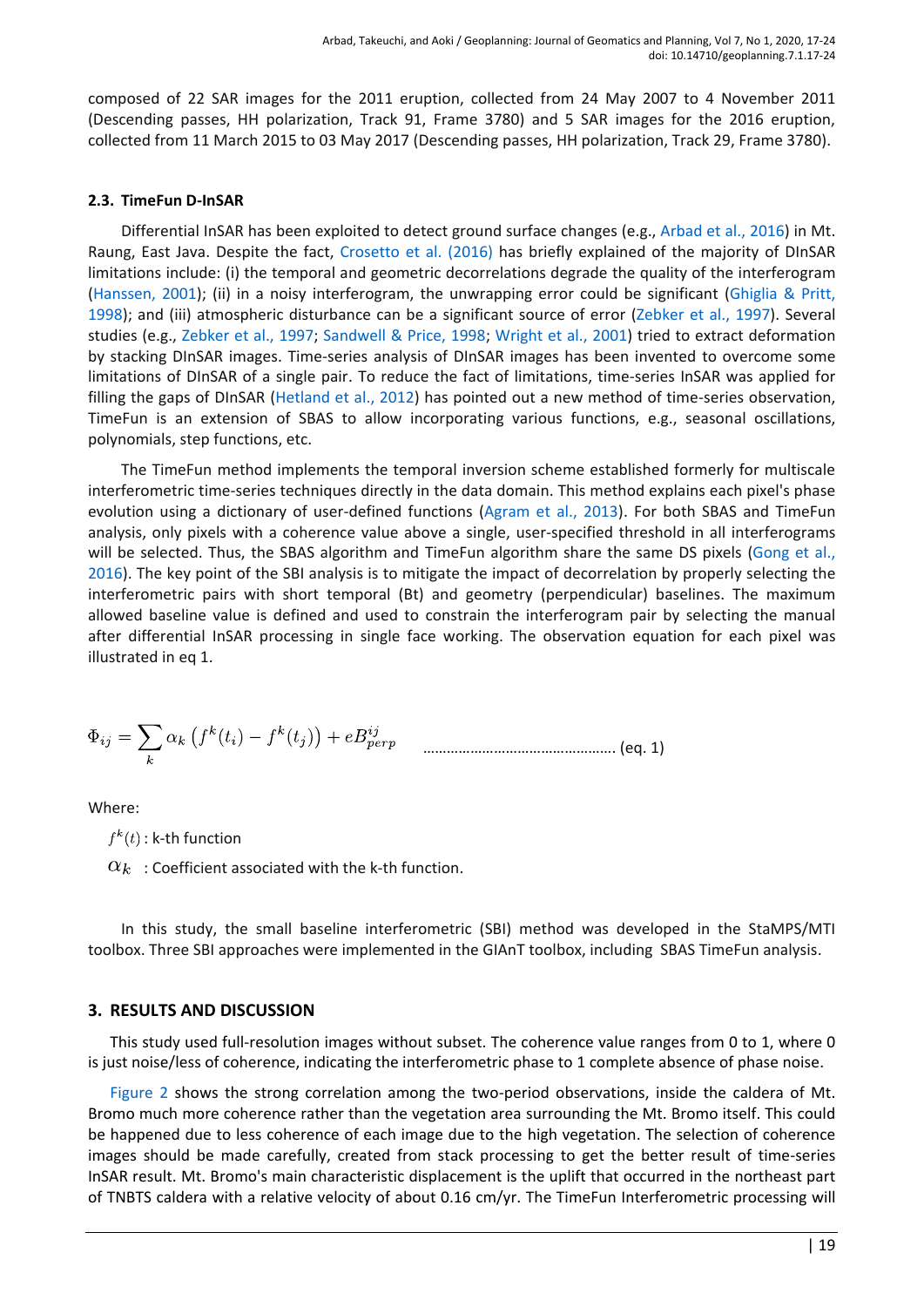composed of 22 SAR images for the 2011 eruption, collected from 24 May 2007 to 4 November 2011 (Descending passes, HH polarization, Track 91, Frame 3780) and 5 SAR images for the 2016 eruption, collected from 11 March 2015 to 03 May 2017 (Descending passes, HH polarization, Track 29, Frame 3780).

## **2.3. TimeFun D-InSAR**

Differential InSAR has been exploited to detect ground surface changes (e.g., Arbad et [al., 2016\)](#page-5-7) in Mt. Raung, East Java. Despite the fact, [Crosetto](#page-5-8) et al. (2016) has briefly explained of the majority of DInSAR limitations include: (i) the temporal and geometric decorrelations degrade the quality of the interferogram [\(Hanssen, 2001\)](#page-6-16); (ii) in a noisy interferogram, the unwrapping error could be significant [\(Ghiglia & Pritt,](#page-6-17)  [1998\)](#page-6-17); and (iii) atmospheric disturbance can be a significant source of error [\(Zebker](#page-7-1) et al., 1997). Several studies (e.g., [Zebker et al., 1997;](#page-7-1) [Sandwell & Price, 1998;](#page-6-18) [Wright](#page-7-2) et al., 2001) tried to extract deformation by stacking DInSAR images. Time-series analysis of DInSAR images has been invented to overcome some limitations of DInSAR of a single pair. To reduce the fact of limitations, time-series InSAR was applied for filling the gaps of DInSAR [\(Hetland et al., 2012\)](#page-6-19) has pointed out a new method of time-series observation, TimeFun is an extension of SBAS to allow incorporating various functions, e.g., seasonal oscillations, polynomials, step functions, etc.

The TimeFun method implements the temporal inversion scheme established formerly for multiscale interferometric time‐series techniques directly in the data domain. This method explains each pixel's phase evolution using a dictionary of user-defined functions [\(Agram et al., 2013\)](#page-5-9). For both SBAS and TimeFun analysis, only pixels with a coherence value above a single, user-specified threshold in all interferograms will be selected. Thus, the SBAS algorithm and TimeFun algorithm share the same DS pixels (Gong et al., [2016\)](#page-6-20). The key point of the SBI analysis is to mitigate the impact of decorrelation by properly selecting the interferometric pairs with short temporal (Bt) and geometry (perpendicular) baselines. The maximum allowed baseline value is defined and used to constrain the interferogram pair by selecting the manual after differential InSAR processing in single face working. The observation equation for each pixel was illustrated in eq 1.

…………………………………………. (eq. 1)

Where:

 $f^k(t)$ : k-th function

 $\alpha_k$ : Coefficient associated with the k-th function.

In this study, the small baseline interferometric (SBI) method was developed in the StaMPS/MTI toolbox. Three SBI approaches were implemented in the GIAnT toolbox, including SBAS TimeFun analysis.

# **3. RESULTS AND DISCUSSION**

This study used full-resolution images without subset. The coherence value ranges from 0 to 1, where 0 is just noise/less of coherence, indicating the interferometric phase to 1 complete absence of phase noise.

[Figure 2](#page-3-0) shows the strong correlation among the two-period observations, inside the caldera of Mt. Bromo much more coherence rather than the vegetation area surrounding the Mt. Bromo itself. This could be happened due to less coherence of each image due to the high vegetation. The selection of coherence images should be made carefully, created from stack processing to get the better result of time-series InSAR result. Mt. Bromo's main characteristic displacement is the uplift that occurred in the northeast part of TNBTS caldera with a relative velocity of about 0.16 cm/yr. The TimeFun Interferometric processing will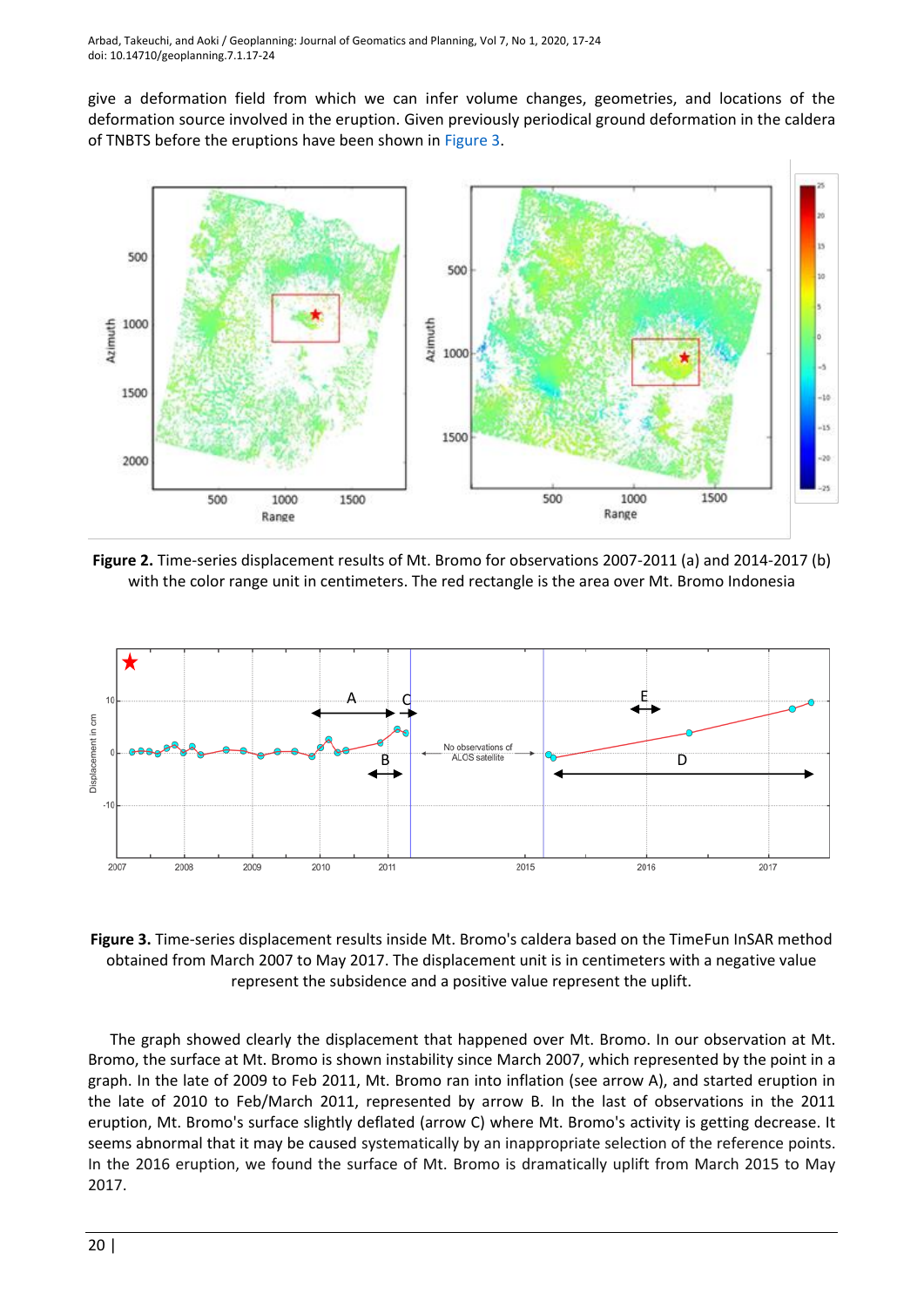give a deformation field from which we can infer volume changes, geometries, and locations of the deformation source involved in the eruption. Given previously periodical ground deformation in the caldera of TNBTS before the eruptions have been shown in [Figure 3.](#page-3-1)



<span id="page-3-0"></span>**Figure 2.** Time-series displacement results of Mt. Bromo for observations 2007-2011 (a) and 2014-2017 (b) with the color range unit in centimeters. The red rectangle is the area over Mt. Bromo Indonesia



<span id="page-3-1"></span>**Figure 3.** Time-series displacement results inside Mt. Bromo's caldera based on the TimeFun InSAR method obtained from March 2007 to May 2017. The displacement unit is in centimeters with a negative value represent the subsidence and a positive value represent the uplift.

The graph showed clearly the displacement that happened over Mt. Bromo. In our observation at Mt. Bromo, the surface at Mt. Bromo is shown instability since March 2007, which represented by the point in a graph. In the late of 2009 to Feb 2011, Mt. Bromo ran into inflation (see arrow A), and started eruption in the late of 2010 to Feb/March 2011, represented by arrow B. In the last of observations in the 2011 eruption, Mt. Bromo's surface slightly deflated (arrow C) where Mt. Bromo's activity is getting decrease. It seems abnormal that it may be caused systematically by an inappropriate selection of the reference points. In the 2016 eruption, we found the surface of Mt. Bromo is dramatically uplift from March 2015 to May 2017.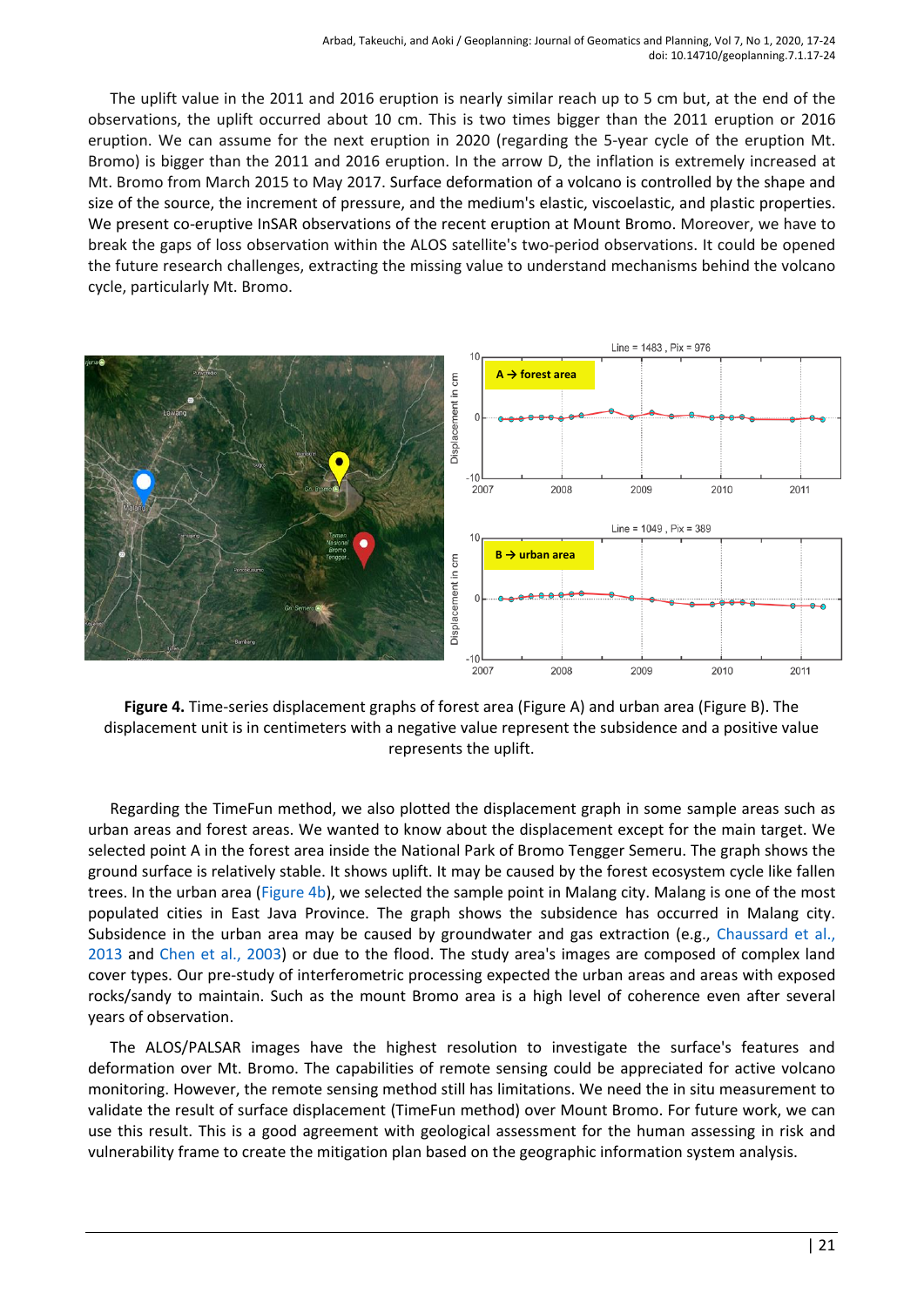The uplift value in the 2011 and 2016 eruption is nearly similar reach up to 5 cm but, at the end of the observations, the uplift occurred about 10 cm. This is two times bigger than the 2011 eruption or 2016 eruption. We can assume for the next eruption in 2020 (regarding the 5-year cycle of the eruption Mt. Bromo) is bigger than the 2011 and 2016 eruption. In the arrow D, the inflation is extremely increased at Mt. Bromo from March 2015 to May 2017. Surface deformation of a volcano is controlled by the shape and size of the source, the increment of pressure, and the medium's elastic, viscoelastic, and plastic properties. We present co-eruptive InSAR observations of the recent eruption at Mount Bromo. Moreover, we have to break the gaps of loss observation within the ALOS satellite's two-period observations. It could be opened the future research challenges, extracting the missing value to understand mechanisms behind the volcano cycle, particularly Mt. Bromo.



<span id="page-4-0"></span>**Figure 4.** Time-series displacement graphs of forest area (Figure A) and urban area (Figure B). The displacement unit is in centimeters with a negative value represent the subsidence and a positive value represents the uplift.

Regarding the TimeFun method, we also plotted the displacement graph in some sample areas such as urban areas and forest areas. We wanted to know about the displacement except for the main target. We selected point A in the forest area inside the National Park of Bromo Tengger Semeru. The graph shows the ground surface is relatively stable. It shows uplift. It may be caused by the forest ecosystem cycle like fallen trees. In the urban area [\(Figure 4b\)](#page-4-0), we selected the sample point in Malang city. Malang is one of the most populated cities in East Java Province. The graph shows the subsidence has occurred in Malang city. Subsidence in the urban area may be caused by groundwater and gas extraction (e.g., [Chaussard](#page-5-10) et al., [2013](#page-5-10) and Chen [et al., 2003\)](#page-5-11) or due to the flood. The study area's images are composed of complex land cover types. Our pre-study of interferometric processing expected the urban areas and areas with exposed rocks/sandy to maintain. Such as the mount Bromo area is a high level of coherence even after several years of observation.

The ALOS/PALSAR images have the highest resolution to investigate the surface's features and deformation over Mt. Bromo. The capabilities of remote sensing could be appreciated for active volcano monitoring. However, the remote sensing method still has limitations. We need the in situ measurement to validate the result of surface displacement (TimeFun method) over Mount Bromo. For future work, we can use this result. This is a good agreement with geological assessment for the human assessing in risk and vulnerability frame to create the mitigation plan based on the geographic information system analysis.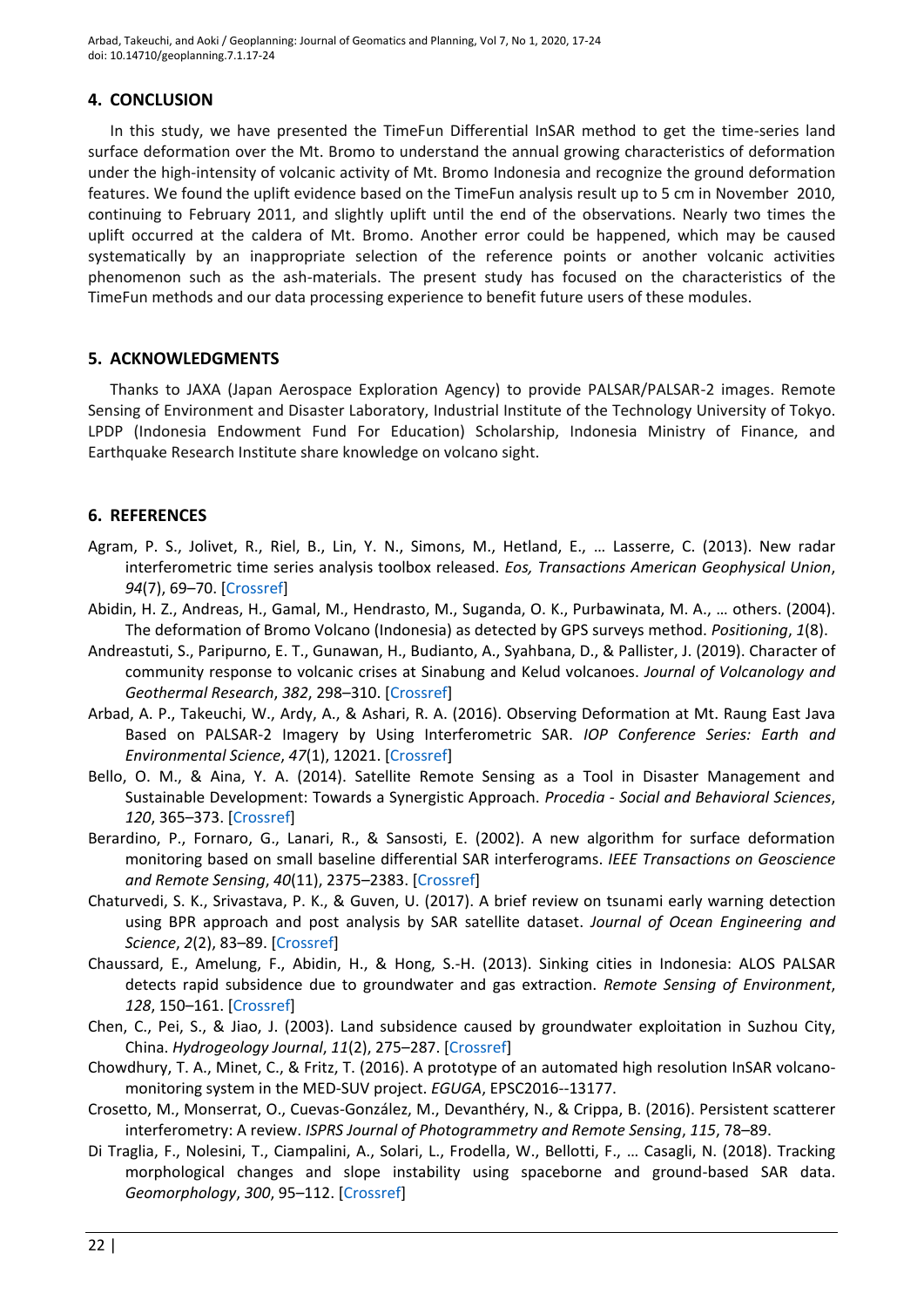Arbad, Takeuchi, and Aoki / Geoplanning: Journal of Geomatics and Planning, Vol 7, No 1, 2020, 17-24 doi: 10.14710/geoplanning.7.1.17-24

# **4. CONCLUSION**

In this study, we have presented the TimeFun Differential InSAR method to get the time-series land surface deformation over the Mt. Bromo to understand the annual growing characteristics of deformation under the high-intensity of volcanic activity of Mt. Bromo Indonesia and recognize the ground deformation features. We found the uplift evidence based on the TimeFun analysis result up to 5 cm in November 2010, continuing to February 2011, and slightly uplift until the end of the observations. Nearly two times the uplift occurred at the caldera of Mt. Bromo. Another error could be happened, which may be caused systematically by an inappropriate selection of the reference points or another volcanic activities phenomenon such as the ash-materials. The present study has focused on the characteristics of the TimeFun methods and our data processing experience to benefit future users of these modules.

# **5. ACKNOWLEDGMENTS**

Thanks to JAXA (Japan Aerospace Exploration Agency) to provide PALSAR/PALSAR-2 images. Remote Sensing of Environment and Disaster Laboratory, Industrial Institute of the Technology University of Tokyo. LPDP (Indonesia Endowment Fund For Education) Scholarship, Indonesia Ministry of Finance, and Earthquake Research Institute share knowledge on volcano sight.

# **6. REFERENCES**

- <span id="page-5-9"></span>Agram, P. S., Jolivet, R., Riel, B., Lin, Y. N., Simons, M., Hetland, E., … Lasserre, C. (2013). New radar interferometric time series analysis toolbox released. *Eos, Transactions American Geophysical Union*, *94*(7), 69–70. [\[Crossref\]](https://doi.org/10.1002/2013eo070001)
- <span id="page-5-6"></span>Abidin, H. Z., Andreas, H., Gamal, M., Hendrasto, M., Suganda, O. K., Purbawinata, M. A., … others. (2004). The deformation of Bromo Volcano (Indonesia) as detected by GPS surveys method. *Positioning*, *1*(8).
- <span id="page-5-2"></span>Andreastuti, S., Paripurno, E. T., Gunawan, H., Budianto, A., Syahbana, D., & Pallister, J. (2019). Character of community response to volcanic crises at Sinabung and Kelud volcanoes. *Journal of Volcanology and Geothermal Research*, *382*, 298–310. [\[Crossref\]](https://doi.org/10.1016/j.jvolgeores.2017.01.022)
- <span id="page-5-7"></span>Arbad, A. P., Takeuchi, W., Ardy, A., & Ashari, R. A. (2016). Observing Deformation at Mt. Raung East Java Based on PALSAR-2 Imagery by Using Interferometric SAR. *IOP Conference Series: Earth and Environmental Science*, *47*(1), 12021. [\[Crossref\]](https://doi.org/10.1088/1755-1315/47/1/012021)
- <span id="page-5-0"></span>Bello, O. M., & Aina, Y. A. (2014). Satellite Remote Sensing as a Tool in Disaster Management and Sustainable Development: Towards a Synergistic Approach. *Procedia - Social and Behavioral Sciences*, *120*, 365–373. [\[Crossref\]](https://doi.org/10.1016/j.sbspro.2014.02.114)
- <span id="page-5-4"></span>Berardino, P., Fornaro, G., Lanari, R., & Sansosti, E. (2002). A new algorithm for surface deformation monitoring based on small baseline differential SAR interferograms. *IEEE Transactions on Geoscience and Remote Sensing*, *40*(11), 2375–2383. [\[Crossref\]](https://doi.org/10.1109/tgrs.2002.803792)
- <span id="page-5-1"></span>Chaturvedi, S. K., Srivastava, P. K., & Guven, U. (2017). A brief review on tsunami early warning detection using BPR approach and post analysis by SAR satellite dataset. *Journal of Ocean Engineering and Science*, *2*(2), 83–89. [\[Crossref\]](https://doi.org/10.1016/j.joes.2016.12.001)
- <span id="page-5-10"></span>Chaussard, E., Amelung, F., Abidin, H., & Hong, S.-H. (2013). Sinking cities in Indonesia: ALOS PALSAR detects rapid subsidence due to groundwater and gas extraction. *Remote Sensing of Environment*, *128*, 150–161. [\[Crossref\]](https://doi.org/10.1016/j.rse.2012.10.015)
- <span id="page-5-11"></span>Chen, C., Pei, S., & Jiao, J. (2003). Land subsidence caused by groundwater exploitation in Suzhou City, China. *Hydrogeology Journal*, *11*(2), 275–287. [\[Crossref\]](https://doi.org/10.1007/s10040-002-0225-5)
- <span id="page-5-3"></span>Chowdhury, T. A., Minet, C., & Fritz, T. (2016). A prototype of an automated high resolution InSAR volcanomonitoring system in the MED-SUV project. *EGUGA*, EPSC2016--13177.
- <span id="page-5-8"></span>Crosetto, M., Monserrat, O., Cuevas-González, M., Devanthéry, N., & Crippa, B. (2016). Persistent scatterer interferometry: A review. *ISPRS Journal of Photogrammetry and Remote Sensing*, *115*, 78–89.
- <span id="page-5-5"></span>Di Traglia, F., Nolesini, T., Ciampalini, A., Solari, L., Frodella, W., Bellotti, F., … Casagli, N. (2018). Tracking morphological changes and slope instability using spaceborne and ground-based SAR data. *Geomorphology*, *300*, 95–112. [\[Crossref\]](https://doi.org/10.1016/j.geomorph.2017.10.023)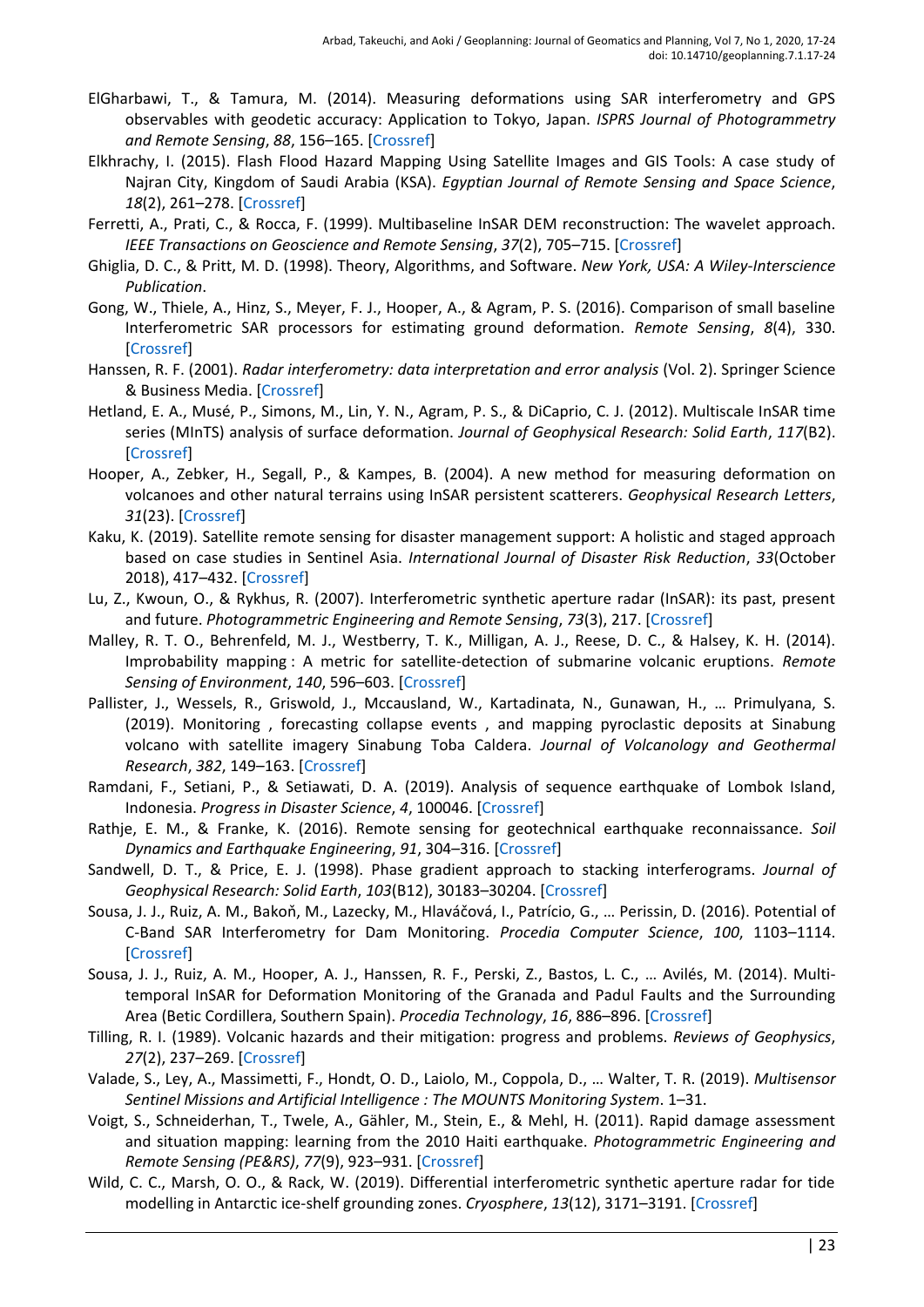- <span id="page-6-10"></span>ElGharbawi, T., & Tamura, M. (2014). Measuring deformations using SAR interferometry and GPS observables with geodetic accuracy: Application to Tokyo, Japan. *ISPRS Journal of Photogrammetry and Remote Sensing*, *88*, 156–165. [\[Crossref\]](https://doi.org/10.1016/j.isprsjprs.2013.12.005)
- <span id="page-6-3"></span>Elkhrachy, I. (2015). Flash Flood Hazard Mapping Using Satellite Images and GIS Tools: A case study of Najran City, Kingdom of Saudi Arabia (KSA). *Egyptian Journal of Remote Sensing and Space Science*, *18*(2), 261–278. [\[Crossref\]](https://doi.org/10.1016/j.ejrs.2015.06.007)
- <span id="page-6-9"></span>Ferretti, A., Prati, C., & Rocca, F. (1999). Multibaseline InSAR DEM reconstruction: The wavelet approach. *IEEE Transactions on Geoscience and Remote Sensing*, *37*(2), 705–715. [\[Crossref\]](https://doi.org/10.1109/36.752187)
- <span id="page-6-17"></span>Ghiglia, D. C., & Pritt, M. D. (1998). Theory, Algorithms, and Software. *New York, USA: A Wiley-Interscience Publication*.
- <span id="page-6-20"></span>Gong, W., Thiele, A., Hinz, S., Meyer, F. J., Hooper, A., & Agram, P. S. (2016). Comparison of small baseline Interferometric SAR processors for estimating ground deformation. *Remote Sensing*, *8*(4), 330. [\[Crossref\]](https://doi.org/10.3390/rs8040330)
- <span id="page-6-16"></span>Hanssen, R. F. (2001). *Radar interferometry: data interpretation and error analysis* (Vol. 2). Springer Science & Business Media. [\[Crossref\]](https://doi.org/10.1007/0-306-47633-9)
- <span id="page-6-19"></span>Hetland, E. A., Musé, P., Simons, M., Lin, Y. N., Agram, P. S., & DiCaprio, C. J. (2012). Multiscale InSAR time series (MInTS) analysis of surface deformation. *Journal of Geophysical Research: Solid Earth*, *117*(B2). [\[Crossref\]](https://doi.org/10.1029/2011jb008731)
- <span id="page-6-8"></span>Hooper, A., Zebker, H., Segall, P., & Kampes, B. (2004). A new method for measuring deformation on volcanoes and other natural terrains using InSAR persistent scatterers. *Geophysical Research Letters*, *31*(23). [\[Crossref\]](https://doi.org/10.1029/2004gl021737)
- <span id="page-6-0"></span>Kaku, K. (2019). Satellite remote sensing for disaster management support: A holistic and staged approach based on case studies in Sentinel Asia. *International Journal of Disaster Risk Reduction*, *33*(October 2018), 417–432. [\[Crossref\]](https://doi.org/10.1016/j.ijdrr.2018.09.015)
- <span id="page-6-14"></span>Lu, Z., Kwoun, O., & Rykhus, R. (2007). Interferometric synthetic aperture radar (InSAR): its past, present and future. *Photogrammetric Engineering and Remote Sensing*, *73*(3), 217. [\[Crossref\]](https://doi.org/10.1007/978-3-540-49302-0_5)
- <span id="page-6-4"></span>Malley, R. T. O., Behrenfeld, M. J., Westberry, T. K., Milligan, A. J., Reese, D. C., & Halsey, K. H. (2014). Improbability mapping : A metric for satellite-detection of submarine volcanic eruptions. *Remote Sensing of Environment*, *140*, 596–603. [\[Crossref\]](https://doi.org/10.1016/j.rse.2013.09.029)
- <span id="page-6-5"></span>Pallister, J., Wessels, R., Griswold, J., Mccausland, W., Kartadinata, N., Gunawan, H., … Primulyana, S. (2019). Monitoring , forecasting collapse events , and mapping pyroclastic deposits at Sinabung volcano with satellite imagery Sinabung Toba Caldera. *Journal of Volcanology and Geothermal Research*, *382*, 149–163. [\[Crossref\]](https://doi.org/10.1016/j.jvolgeores.2018.05.012)
- <span id="page-6-1"></span>Ramdani, F., Setiani, P., & Setiawati, D. A. (2019). Analysis of sequence earthquake of Lombok Island, Indonesia. *Progress in Disaster Science*, *4*, 100046. [\[Crossref\]](https://doi.org/10.1016/j.pdisas.2019.100046)
- <span id="page-6-2"></span>Rathje, E. M., & Franke, K. (2016). Remote sensing for geotechnical earthquake reconnaissance. *Soil Dynamics and Earthquake Engineering*, *91*, 304–316. [\[Crossref\]](https://doi.org/10.1016/j.soildyn.2016.09.016)
- <span id="page-6-18"></span>Sandwell, D. T., & Price, E. J. (1998). Phase gradient approach to stacking interferograms. *Journal of Geophysical Research: Solid Earth*, *103*(B12), 30183–30204. [\[Crossref\]](https://doi.org/10.1029/1998jb900008)
- <span id="page-6-11"></span>Sousa, J. J., Ruiz, A. M., Bakoň, M., Lazecky, M., Hlaváčová, I., Patrício, G., … Perissin, D. (2016). Potential of C-Band SAR Interferometry for Dam Monitoring. *Procedia Computer Science*, *100*, 1103–1114. [\[Crossref\]](https://doi.org/10.1016/j.procs.2016.09.258)
- <span id="page-6-12"></span>Sousa, J. J., Ruiz, A. M., Hooper, A. J., Hanssen, R. F., Perski, Z., Bastos, L. C., … Avilés, M. (2014). Multitemporal InSAR for Deformation Monitoring of the Granada and Padul Faults and the Surrounding Area (Betic Cordillera, Southern Spain). *Procedia Technology*, *16*, 886–896. [\[Crossref\]](https://doi.org/10.1016/j.protcy.2014.10.040)
- <span id="page-6-7"></span>Tilling, R. I. (1989). Volcanic hazards and their mitigation: progress and problems. *Reviews of Geophysics*, *27*(2), 237–269. [\[Crossref\]](https://doi.org/10.1029/rg027i002p00237)
- <span id="page-6-6"></span>Valade, S., Ley, A., Massimetti, F., Hondt, O. D., Laiolo, M., Coppola, D., … Walter, T. R. (2019). *Multisensor Sentinel Missions and Artificial Intelligence : The MOUNTS Monitoring System*. 1–31.
- <span id="page-6-15"></span>Voigt, S., Schneiderhan, T., Twele, A., Gähler, M., Stein, E., & Mehl, H. (2011). Rapid damage assessment and situation mapping: learning from the 2010 Haiti earthquake. *Photogrammetric Engineering and Remote Sensing (PE&RS)*, *77*(9), 923–931. [\[Crossref\]](https://doi.org/10.14358/pers.77.9.923)
- <span id="page-6-13"></span>Wild, C. C., Marsh, O. O., & Rack, W. (2019). Differential interferometric synthetic aperture radar for tide modelling in Antarctic ice-shelf grounding zones. *Cryosphere*, *13*(12), 3171–3191. [\[Crossref\]](https://doi.org/10.5194/tc-13-3171-2019)